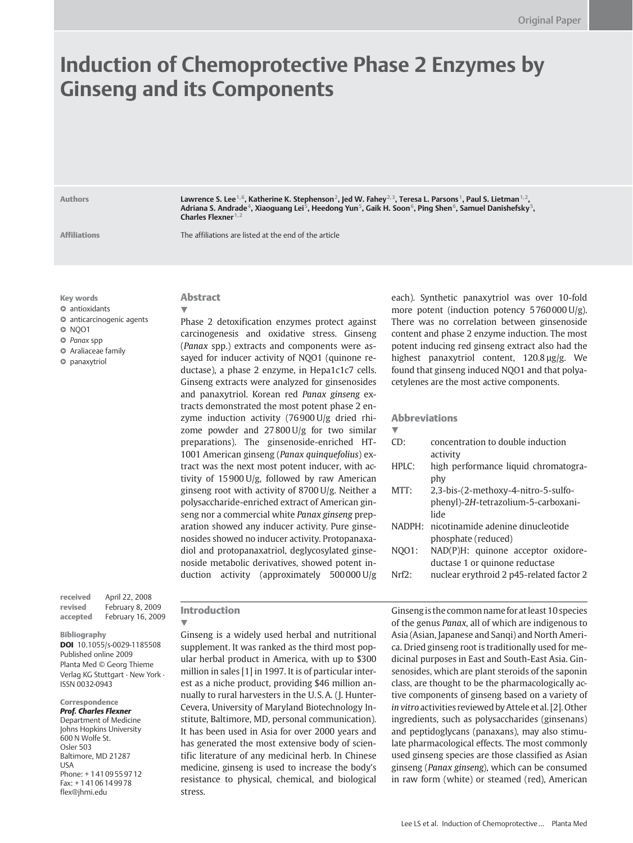# Induction of Chemoprotective Phase 2 Enzymes by Ginseng and its Components

Authors **Lawrence S. Lee<sup>1, 6</sup>, Katherine K. Stephenson<sup>2</sup>, Jed W. Fahey<sup>2, 3</sup>, Teresa L. Parsons<sup>1</sup>, Paul S. Lietman<sup>1, 2</sup>,** Adriana S. Andrade<sup>4</sup>, Xiaoguang Lei<sup>5</sup>, Heedong Yun<sup>5</sup>, Gaik H. Soon<sup>6</sup>, Ping Shen<sup>6</sup>, Samuel Danishefsky<sup>5</sup>, Charles Flexner<sup>1,2</sup>

Affiliations The affiliations are listed at the end of the article

Key words

l " antioxidants

**O** anticarcinogenic agents

 $\circ$  NQO1

O Panax spp

l " Araliaceae family

 $\bullet$  panaxytriol

received April 22, 2008 revised February 8, 2009 accepted February 16, 2009

Bibliography

DOI 10.1055/s-0029-1185508 Published online 2009 Planta Med © Georg Thieme Verlag KG Stuttgart · New York · ISSN 0032‑0943

#### Correspondence Prof. Charles Flexner

Department of Medicine Johns Hopkins University 600 N Wolfe St. Osler 503 Baltimore, MD 21287 USA Phone: + 1 41 09 55 97 12 Fax: + 1 41 06 14 99 78 flex@jhmi.edu

# Abstract

 $\blacktriangledown$ Phase 2 detoxification enzymes protect against carcinogenesis and oxidative stress. Ginseng (Panax spp.) extracts and components were assayed for inducer activity of NQO1 (quinone reductase), a phase 2 enzyme, in Hepa1c1c7 cells. Ginseng extracts were analyzed for ginsenosides and panaxytriol. Korean red Panax ginseng extracts demonstrated the most potent phase 2 enzyme induction activity (76 900 U/g dried rhizome powder and 27 800 U/g for two similar preparations). The ginsenoside-enriched HT-1001 American ginseng (Panax quinquefolius) extract was the next most potent inducer, with activity of 15 900 U/g, followed by raw American ginseng root with activity of 8700 U/g. Neither a polysaccharide-enriched extract of American ginseng nor a commercial white Panax ginseng preparation showed any inducer activity. Pure ginsenosides showed no inducer activity. Protopanaxadiol and protopanaxatriol, deglycosylated ginsenoside metabolic derivatives, showed potent induction activity (approximately 500 000 U/g

## Introduction

 $\blacktriangledown$ 

Ginseng is a widely used herbal and nutritional supplement. It was ranked as the third most popular herbal product in America, with up to \$300 million in sales [1] in 1997. It is of particular interest as a niche product, providing \$46 million annually to rural harvesters in the U. S.A. (J. Hunter-Cevera, University of Maryland Biotechnology Institute, Baltimore, MD, personal communication). It has been used in Asia for over 2000 years and has generated the most extensive body of scientific literature of any medicinal herb. In Chinese medicine, ginseng is used to increase the body's resistance to physical, chemical, and biological stress.

each). Synthetic panaxytriol was over 10-fold more potent (induction potency 5 760 000 U/g). There was no correlation between ginsenoside content and phase 2 enzyme induction. The most potent inducing red ginseng extract also had the highest panaxytriol content, 120.8 µg/g. We found that ginseng induced NQO1 and that polyacetylenes are the most active components.

## Abbreviations

! CD: concentration to double induction activity HPLC: high performance liquid chromatography MTT: 2,3-bis-(2-methoxy-4-nitro-5-sulfophenyl)-2H-tetrazolium-5-carboxanilide NADPH: nicotinamide adenine dinucleotide phosphate (reduced) NQO1: NAD(P)H: quinone acceptor oxidoreductase 1 or quinone reductase Nrf2: nuclear erythroid 2 p45-related factor 2

Ginsengis the common name for atleast 10 species of the genus Panax, all of which are indigenous to Asia (Asian, Japanese and Sanqi) and North America. Dried ginseng root is traditionally used for medicinal purposes in East and South-East Asia. Ginsenosides, which are plant steroids of the saponin class, are thought to be the pharmacologically active components of ginseng based on a variety of in vitro activities reviewed by Attele et al. [2]. Other ingredients, such as polysaccharides (ginsenans) and peptidoglycans (panaxans), may also stimulate pharmacological effects. The most commonly used ginseng species are those classified as Asian ginseng (Panax ginseng), which can be consumed in raw form (white) or steamed (red), American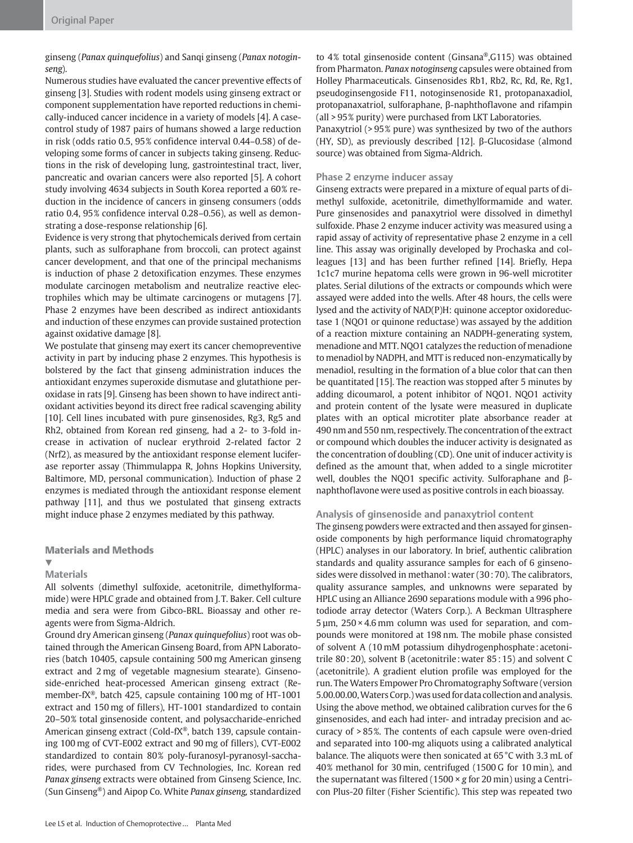ginseng (Panax quinquefolius) and Sanqi ginseng (Panax notoginseng).

Numerous studies have evaluated the cancer preventive effects of ginseng [3]. Studies with rodent models using ginseng extract or component supplementation have reported reductions in chemically-induced cancer incidence in a variety of models [4]. A casecontrol study of 1987 pairs of humans showed a large reduction in risk (odds ratio 0.5, 95% confidence interval 0.44–0.58) of developing some forms of cancer in subjects taking ginseng. Reductions in the risk of developing lung, gastrointestinal tract, liver, pancreatic and ovarian cancers were also reported [5]. A cohort study involving 4634 subjects in South Korea reported a 60% reduction in the incidence of cancers in ginseng consumers (odds ratio 0.4, 95% confidence interval 0.28–0.56), as well as demonstrating a dose-response relationship [6].

Evidence is very strong that phytochemicals derived from certain plants, such as sulforaphane from broccoli, can protect against cancer development, and that one of the principal mechanisms is induction of phase 2 detoxification enzymes. These enzymes modulate carcinogen metabolism and neutralize reactive electrophiles which may be ultimate carcinogens or mutagens [7]. Phase 2 enzymes have been described as indirect antioxidants and induction of these enzymes can provide sustained protection against oxidative damage [8].

We postulate that ginseng may exert its cancer chemopreventive activity in part by inducing phase 2 enzymes. This hypothesis is bolstered by the fact that ginseng administration induces the antioxidant enzymes superoxide dismutase and glutathione peroxidase in rats [9]. Ginseng has been shown to have indirect antioxidant activities beyond its direct free radical scavenging ability [10]. Cell lines incubated with pure ginsenosides, Rg3, Rg5 and Rh2, obtained from Korean red ginseng, had a 2- to 3-fold increase in activation of nuclear erythroid 2-related factor 2 (Nrf2), as measured by the antioxidant response element luciferase reporter assay (Thimmulappa R, Johns Hopkins University, Baltimore, MD, personal communication). Induction of phase 2 enzymes is mediated through the antioxidant response element pathway [11], and thus we postulated that ginseng extracts might induce phase 2 enzymes mediated by this pathway.

## Materials and Methods

#### $\blacktriangledown$ **Materials**

All solvents (dimethyl sulfoxide, acetonitrile, dimethylformamide) were HPLC grade and obtained from J. T. Baker. Cell culture media and sera were from Gibco-BRL. Bioassay and other reagents were from Sigma-Aldrich.

Ground dry American ginseng (Panax quinquefolius) root was obtained through the American Ginseng Board, from APN Laboratories (batch 10405, capsule containing 500 mg American ginseng extract and 2 mg of vegetable magnesium stearate). Ginsenoside-enriched heat-processed American ginseng extract (Remember-fX®, batch 425, capsule containing 100 mg of HT-1001 extract and 150 mg of fillers), HT-1001 standardized to contain 20–50% total ginsenoside content, and polysaccharide-enriched American ginseng extract (Cold-fX®, batch 139, capsule containing 100 mg of CVT-E002 extract and 90 mg of fillers), CVT-E002 standardized to contain 80% poly-furanosyl-pyranosyl-saccharides, were purchased from CV Technologies, Inc. Korean red Panax ginseng extracts were obtained from Ginseng Science, Inc. (Sun Ginseng®) and Aipop Co. White Panax ginseng, standardized

to 4% total ginsenoside content (Ginsana®,G115) was obtained from Pharmaton. Panax notoginseng capsules were obtained from Holley Pharmaceuticals. Ginsenosides Rb1, Rb2, Rc, Rd, Re, Rg1, pseudoginsengoside F11, notoginsenoside R1, protopanaxadiol, protopanaxatriol, sulforaphane, β-naphthoflavone and rifampin (all > 95% purity) were purchased from LKT Laboratories.

Panaxytriol (> 95% pure) was synthesized by two of the authors (HY, SD), as previously described [12]. β-Glucosidase (almond source) was obtained from Sigma-Aldrich.

# Phase 2 enzyme inducer assay

Ginseng extracts were prepared in a mixture of equal parts of dimethyl sulfoxide, acetonitrile, dimethylformamide and water. Pure ginsenosides and panaxytriol were dissolved in dimethyl sulfoxide. Phase 2 enzyme inducer activity was measured using a rapid assay of activity of representative phase 2 enzyme in a cell line. This assay was originally developed by Prochaska and colleagues [13] and has been further refined [14]. Briefly, Hepa 1c1c7 murine hepatoma cells were grown in 96-well microtiter plates. Serial dilutions of the extracts or compounds which were assayed were added into the wells. After 48 hours, the cells were lysed and the activity of NAD(P)H: quinone acceptor oxidoreductase 1 (NQO1 or quinone reductase) was assayed by the addition of a reaction mixture containing an NADPH-generating system, menadione and MTT. NQO1 catalyzes the reduction of menadione to menadiol by NADPH, and MTT is reduced non-enzymatically by menadiol, resulting in the formation of a blue color that can then be quantitated [15]. The reaction was stopped after 5 minutes by adding dicoumarol, a potent inhibitor of NQO1. NQO1 activity and protein content of the lysate were measured in duplicate plates with an optical microtiter plate absorbance reader at 490 nm and 550 nm, respectively. The concentration of the extract or compound which doubles the inducer activity is designated as the concentration of doubling (CD). One unit of inducer activity is defined as the amount that, when added to a single microtiter well, doubles the NQO1 specific activity. Sulforaphane and βnaphthoflavone were used as positive controls in each bioassay.

## Analysis of ginsenoside and panaxytriol content

The ginseng powders were extracted and then assayed for ginsenoside components by high performance liquid chromatography (HPLC) analyses in our laboratory. In brief, authentic calibration standards and quality assurance samples for each of 6 ginsenosides were dissolved in methanol: water (30:70). The calibrators, quality assurance samples, and unknowns were separated by HPLC using an Alliance 2690 separations module with a 996 photodiode array detector (Waters Corp.). A Beckman Ultrasphere  $5 \mu m$ ,  $250 \times 4.6 \text{ mm}$  column was used for separation, and compounds were monitored at 198 nm. The mobile phase consisted of solvent A (10 mM potassium dihydrogenphosphate : acetonitrile 80 : 20), solvent B (acetonitrile :water 85 : 15) and solvent C (acetonitrile). A gradient elution profile was employed for the run. The Waters Empower Pro Chromatography Software (version 5.00.00.00,Waters Corp.) was used for data collection and analysis. Using the above method, we obtained calibration curves for the 6 ginsenosides, and each had inter- and intraday precision and accuracy of > 85%. The contents of each capsule were oven-dried and separated into 100-mg aliquots using a calibrated analytical balance. The aliquots were then sonicated at 65 °C with 3.3 mL of 40% methanol for 30 min, centrifuged (1500 G for 10 min), and the supernatant was filtered (1500  $\times$  g for 20 min) using a Centricon Plus-20 filter (Fisher Scientific). This step was repeated two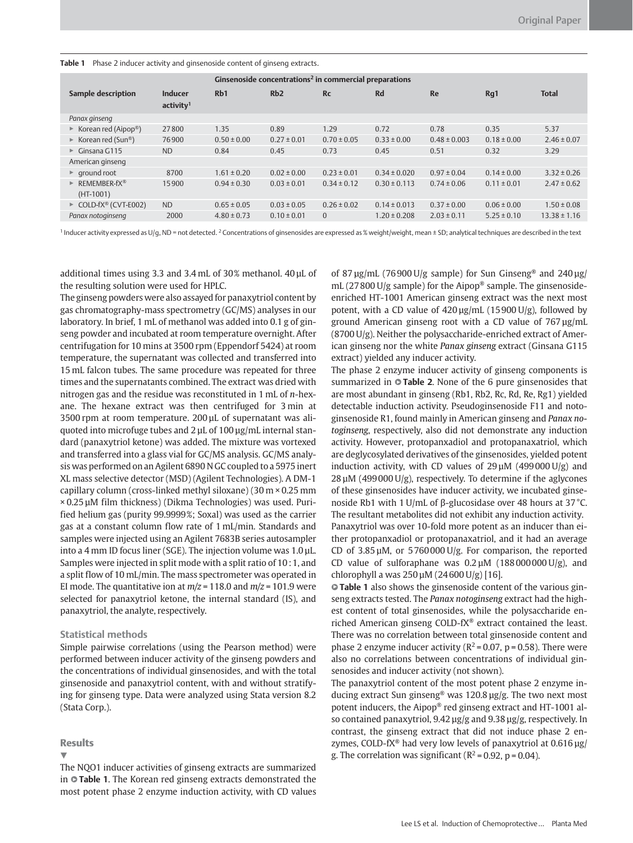|  | Table 1 Phase 2 inducer activity and ginsenoside content of ginseng extracts. |  |  |  |
|--|-------------------------------------------------------------------------------|--|--|--|
|--|-------------------------------------------------------------------------------|--|--|--|

| Ginsenoside concentrations <sup>2</sup> in commercial preparations |                                  |                 |                 |                 |                  |                  |                 |                  |
|--------------------------------------------------------------------|----------------------------------|-----------------|-----------------|-----------------|------------------|------------------|-----------------|------------------|
| Sample description                                                 | Inducer<br>activity <sup>1</sup> | Rb1             | Rb2             | <b>Rc</b>       | <b>Rd</b>        | Re               | Rq1             | <b>Total</b>     |
| Panax ginseng                                                      |                                  |                 |                 |                 |                  |                  |                 |                  |
| $\triangleright$ Korean red (Aipop®)                               | 27800                            | 1.35            | 0.89            | 1.29            | 0.72             | 0.78             | 0.35            | 5.37             |
| ► Korean red (Sun <sup>®</sup> )                                   | 76900                            | $0.50 \pm 0.00$ | $0.27 \pm 0.01$ | $0.70 \pm 0.05$ | $0.33 \pm 0.00$  | $0.48 \pm 0.003$ | $0.18 \pm 0.00$ | $2.46 \pm 0.07$  |
| $\triangleright$ Ginsana G115                                      | <b>ND</b>                        | 0.84            | 0.45            | 0.73            | 0.45             | 0.51             | 0.32            | 3.29             |
| American ginseng                                                   |                                  |                 |                 |                 |                  |                  |                 |                  |
| $\triangleright$ ground root                                       | 8700                             | $1.61 \pm 0.20$ | $0.02 \pm 0.00$ | $0.23 \pm 0.01$ | $0.34 \pm 0.020$ | $0.97 \pm 0.04$  | $0.14 \pm 0.00$ | $3.32 \pm 0.26$  |
| REMEMBER-fX <sup>®</sup><br>►<br>$(HT-1001)$                       | 15900                            | $0.94 \pm 0.30$ | $0.03 \pm 0.01$ | $0.34 \pm 0.12$ | $0.30 \pm 0.113$ | $0.74 \pm 0.06$  | $0.11 \pm 0.01$ | $2.47 \pm 0.62$  |
| $\triangleright$ COLD-fX <sup>®</sup> (CVT-E002)                   | <b>ND</b>                        | $0.65 \pm 0.05$ | $0.03 \pm 0.05$ | $0.26 \pm 0.02$ | $0.14 \pm 0.013$ | $0.37 \pm 0.00$  | $0.06 \pm 0.00$ | $1.50 \pm 0.08$  |
| Panax notoginseng                                                  | 2000                             | $4.80 \pm 0.73$ | $0.10 \pm 0.01$ | $\Omega$        | $1.20 \pm 0.208$ | $2.03 \pm 0.11$  | $5.25 \pm 0.10$ | $13.38 \pm 1.16$ |
|                                                                    |                                  |                 |                 |                 |                  |                  |                 |                  |

<sup>1</sup> Inducer activity expressed as U/g, ND = not detected. <sup>2</sup> Concentrations of ginsenosides are expressed as % weight/weight, mean ± SD; analytical techniques are described in the text

additional times using 3.3 and 3.4 mL of 30% methanol. 40 µL of the resulting solution were used for HPLC.

The ginseng powders were also assayed for panaxytriol content by gas chromatography-mass spectrometry (GC/MS) analyses in our laboratory. In brief, 1 mL of methanol was added into 0.1 g of ginseng powder and incubated at room temperature overnight. After centrifugation for 10 mins at 3500 rpm (Eppendorf 5424) at room temperature, the supernatant was collected and transferred into 15 mL falcon tubes. The same procedure was repeated for three times and the supernatants combined. The extract was dried with nitrogen gas and the residue was reconstituted in 1 mL of n-hexane. The hexane extract was then centrifuged for 3 min at 3500 rpm at room temperature. 200 µL of supernatant was aliquoted into microfuge tubes and 2 µL of 100 µg/mL internal standard (panaxytriol ketone) was added. The mixture was vortexed and transferred into a glass vial for GC/MS analysis. GC/MS analysis was performed on an Agilent 6890 N GC coupled to a 5975 inert XL mass selective detector (MSD) (Agilent Technologies). A DM-1 capillary column (cross-linked methyl siloxane) (30 m × 0.25 mm × 0.25 µM film thickness) (Dikma Technologies) was used. Purified helium gas (purity 99.9999%; Soxal) was used as the carrier gas at a constant column flow rate of 1 mL/min. Standards and samples were injected using an Agilent 7683B series autosampler into a 4 mm ID focus liner (SGE). The injection volume was 1.0 µL. Samples were injected in split mode with a split ratio of 10 : 1, and a split flow of 10 mL/min. The mass spectrometer was operated in EI mode. The quantitative ion at  $m/z = 118.0$  and  $m/z = 101.9$  were selected for panaxytriol ketone, the internal standard (IS), and panaxytriol, the analyte, respectively.

## Statistical methods

Simple pairwise correlations (using the Pearson method) were performed between inducer activity of the ginseng powders and the concentrations of individual ginsenosides, and with the total ginsenoside and panaxytriol content, with and without stratifying for ginseng type. Data were analyzed using Stata version 8.2 (Stata Corp.).

## **Results**

 $\blacktriangledown$ 

The NQO1 inducer activities of ginseng extracts are summarized in **• Table 1.** The Korean red ginseng extracts demonstrated the most potent phase 2 enzyme induction activity, with CD values of 87  $\mu$ g/mL (76900 U/g sample) for Sun Ginseng® and 240  $\mu$ g/ mL (27 800 U/g sample) for the Aipop® sample. The ginsenosideenriched HT-1001 American ginseng extract was the next most potent, with a CD value of  $420 \mu g/mL$  (15900 U/g), followed by ground American ginseng root with a CD value of 767 µg/mL (8700 U/g). Neither the polysaccharide-enriched extract of American ginseng nor the white Panax ginseng extract (Ginsana G115 extract) yielded any inducer activity.

The phase 2 enzyme inducer activity of ginseng components is summarized in  $\circ$  Table 2. None of the 6 pure ginsenosides that are most abundant in ginseng (Rb1, Rb2, Rc, Rd, Re, Rg1) yielded detectable induction activity. Pseudoginsenoside F11 and notoginsenoside R1, found mainly in American ginseng and Panax notoginseng, respectively, also did not demonstrate any induction activity. However, protopanxadiol and protopanaxatriol, which are deglycosylated derivatives of the ginsenosides, yielded potent induction activity, with CD values of  $29 \mu M$  (499000 U/g) and  $28 \mu$ M (499 000 U/g), respectively. To determine if the aglycones of these ginsenosides have inducer activity, we incubated ginsenoside Rb1 with 1 U/mL of β-glucosidase over 48 hours at 37 °C. The resultant metabolites did not exhibit any induction activity. Panaxytriol was over 10-fold more potent as an inducer than either protopanxadiol or protopanaxatriol, and it had an average CD of 3.85 µM, or 5 760 000 U/g. For comparison, the reported CD value of sulforaphane was  $0.2 \mu M$  (188000000 U/g), and chlorophyll a was  $250 \mu M (24600 U/g)$  [16].

**Table 1** also shows the ginsenoside content of the various ginseng extracts tested. The Panax notoginseng extract had the highest content of total ginsenosides, while the polysaccharide enriched American ginseng COLD‑fX® extract contained the least. There was no correlation between total ginsenoside content and phase 2 enzyme inducer activity ( $R^2$  = 0.07, p = 0.58). There were also no correlations between concentrations of individual ginsenosides and inducer activity (not shown).

The panaxytriol content of the most potent phase 2 enzyme inducing extract Sun ginseng® was 120.8 µg/g. The two next most potent inducers, the Aipop® red ginseng extract and HT-1001 also contained panaxytriol, 9.42 µg/g and 9.38 µg/g, respectively. In contrast, the ginseng extract that did not induce phase 2 enzymes, COLD-fX<sup>®</sup> had very low levels of panaxytriol at  $0.616 \,\mu$ g/ g. The correlation was significant ( $R^2$  = 0.92, p = 0.04).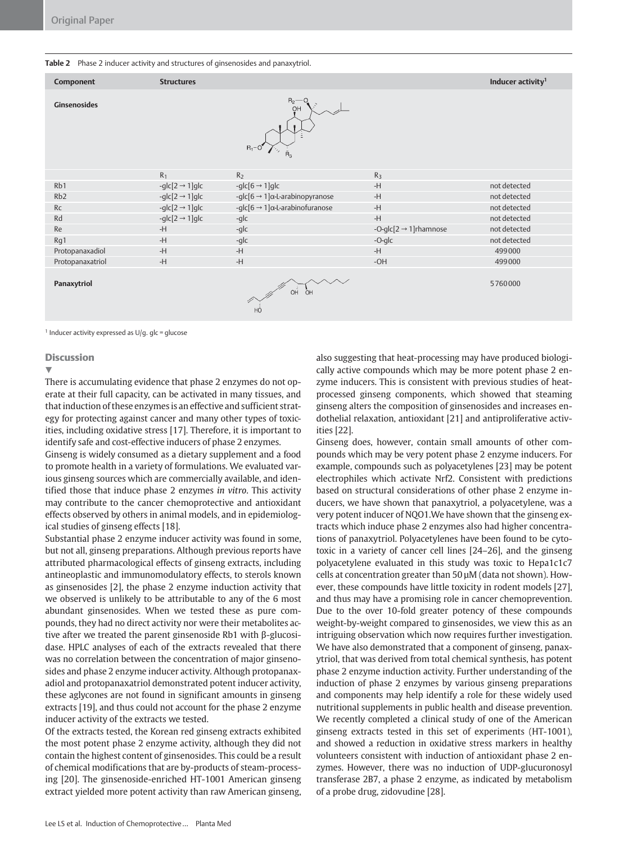#### Table 2 Phase 2 inducer activity and structures of ginsenosides and panaxytriol.

| Component           | <b>Structures</b>            |                                                     |                                     | Inducer activity <sup>1</sup> |
|---------------------|------------------------------|-----------------------------------------------------|-------------------------------------|-------------------------------|
| <b>Ginsenosides</b> |                              | $R_2$ -<br>OH<br>$R_1 - O$                          |                                     |                               |
|                     | $R_1$                        | R <sub>2</sub>                                      | R <sub>3</sub>                      |                               |
| Rb1                 | -glc $[2 \rightarrow 1]$ glc | -glc $[6 \rightarrow 1]$ glc                        | $-H$                                | not detected                  |
| Rb <sub>2</sub>     | -glc $[2 \rightarrow 1]$ glc | -glc[6 $\rightarrow$ 1] $\alpha$ -L-arabinopyranose | $-H$                                | not detected                  |
| Rc                  | -glc $[2 \rightarrow 1]$ glc | -glc[6 $\rightarrow$ 1] $\alpha$ -L-arabinofuranose | $-H$                                | not detected                  |
| Rd                  | -glc $[2 \rightarrow 1]$ glc | -glc                                                | -H                                  | not detected                  |
| Re                  | $-H$                         | -glc                                                | -O-glc[ $2 \rightarrow 1$ ]rhamnose | not detected                  |
| Rg1                 | $-H$                         | -glc                                                | -O-glc                              | not detected                  |
| Protopanaxadiol     | $-H$                         | $-H$                                                | $-H$                                | 499000                        |
| Protopanaxatriol    | $-H$                         | $-H$                                                | $-OH$                               | 499000                        |
| Panaxytriol         |                              | $\overrightarrow{CH}$                               |                                     | 5760000                       |

<sup>1</sup> Inducer activity expressed as  $U/g$ . glc = glucose

#### **Discussion**

 $\blacktriangledown$ 

There is accumulating evidence that phase 2 enzymes do not operate at their full capacity, can be activated in many tissues, and that induction of these enzymes is an effective and sufficient strategy for protecting against cancer and many other types of toxicities, including oxidative stress [17]. Therefore, it is important to identify safe and cost-effective inducers of phase 2 enzymes.

Ginseng is widely consumed as a dietary supplement and a food to promote health in a variety of formulations. We evaluated various ginseng sources which are commercially available, and identified those that induce phase 2 enzymes in vitro. This activity may contribute to the cancer chemoprotective and antioxidant effects observed by others in animal models, and in epidemiological studies of ginseng effects [18].

Substantial phase 2 enzyme inducer activity was found in some, but not all, ginseng preparations. Although previous reports have attributed pharmacological effects of ginseng extracts, including antineoplastic and immunomodulatory effects, to sterols known as ginsenosides [2], the phase 2 enzyme induction activity that we observed is unlikely to be attributable to any of the 6 most abundant ginsenosides. When we tested these as pure compounds, they had no direct activity nor were their metabolites active after we treated the parent ginsenoside Rb1 with β-glucosidase. HPLC analyses of each of the extracts revealed that there was no correlation between the concentration of major ginsenosides and phase 2 enzyme inducer activity. Although protopanaxadiol and protopanaxatriol demonstrated potent inducer activity, these aglycones are not found in significant amounts in ginseng extracts [19], and thus could not account for the phase 2 enzyme inducer activity of the extracts we tested.

Of the extracts tested, the Korean red ginseng extracts exhibited the most potent phase 2 enzyme activity, although they did not contain the highest content of ginsenosides. This could be a result of chemical modifications that are by-products of steam-processing [20]. The ginsenoside-enriched HT-1001 American ginseng extract yielded more potent activity than raw American ginseng,

also suggesting that heat-processing may have produced biologically active compounds which may be more potent phase 2 enzyme inducers. This is consistent with previous studies of heatprocessed ginseng components, which showed that steaming ginseng alters the composition of ginsenosides and increases endothelial relaxation, antioxidant [21] and antiproliferative activities [22].

Ginseng does, however, contain small amounts of other compounds which may be very potent phase 2 enzyme inducers. For example, compounds such as polyacetylenes [23] may be potent electrophiles which activate Nrf2. Consistent with predictions based on structural considerations of other phase 2 enzyme inducers, we have shown that panaxytriol, a polyacetylene, was a very potent inducer of NQO1.We have shown that the ginseng extracts which induce phase 2 enzymes also had higher concentrations of panaxytriol. Polyacetylenes have been found to be cytotoxic in a variety of cancer cell lines [24–26], and the ginseng polyacetylene evaluated in this study was toxic to Hepa1c1c7 cells at concentration greater than 50 µM (data not shown). However, these compounds have little toxicity in rodent models [27], and thus may have a promising role in cancer chemoprevention. Due to the over 10-fold greater potency of these compounds weight-by-weight compared to ginsenosides, we view this as an intriguing observation which now requires further investigation. We have also demonstrated that a component of ginseng, panaxytriol, that was derived from total chemical synthesis, has potent phase 2 enzyme induction activity. Further understanding of the induction of phase 2 enzymes by various ginseng preparations and components may help identify a role for these widely used nutritional supplements in public health and disease prevention. We recently completed a clinical study of one of the American ginseng extracts tested in this set of experiments (HT-1001), and showed a reduction in oxidative stress markers in healthy volunteers consistent with induction of antioxidant phase 2 enzymes. However, there was no induction of UDP-glucuronosyl transferase 2B7, a phase 2 enzyme, as indicated by metabolism of a probe drug, zidovudine [28].